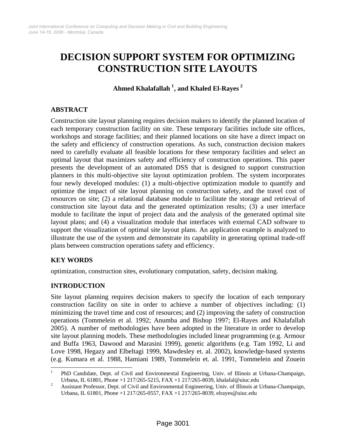# **DECISION SUPPORT SYSTEM FOR OPTIMIZING CONSTRUCTION SITE LAYOUTS**

**Ahmed Khalafallah [1](#page-0-0) , and Khaled El-Rayes [2](#page-0-1)**

# **ABSTRACT**

Construction site layout planning requires decision makers to identify the planned location of each temporary construction facility on site. These temporary facilities include site offices, workshops and storage facilities; and their planned locations on site have a direct impact on the safety and efficiency of construction operations. As such, construction decision makers need to carefully evaluate all feasible locations for these temporary facilities and select an optimal layout that maximizes safety and efficiency of construction operations. This paper presents the development of an automated DSS that is designed to support construction planners in this multi-objective site layout optimization problem. The system incorporates four newly developed modules: (1) a multi-objective optimization module to quantify and optimize the impact of site layout planning on construction safety, and the travel cost of resources on site; (2) a relational database module to facilitate the storage and retrieval of construction site layout data and the generated optimization results; (3) a user interface module to facilitate the input of project data and the analysis of the generated optimal site layout plans; and (4) a visualization module that interfaces with external CAD software to support the visualization of optimal site layout plans. An application example is analyzed to illustrate the use of the system and demonstrate its capability in generating optimal trade-off plans between construction operations safety and efficiency.

#### **KEY WORDS**

optimization, construction sites, evolutionary computation, safety, decision making.

#### **INTRODUCTION**

Site layout planning requires decision makers to specify the location of each temporary construction facility on site in order to achieve a number of objectives including: (1) minimizing the travel time and cost of resources; and (2) improving the safety of construction operations (Tommelein et al. 1992; Anumba and Bishop 1997; El-Rayes and Khalafallah 2005). A number of methodologies have been adopted in the literature in order to develop site layout planning models. These methodologies included linear programming (e.g. Armour and Buffa 1963, Dawood and Marasini 1999), genetic algorithms (e.g. Tam 1992, Li and Love 1998, Hegazy and Elbeltagi 1999, Mawdesley et. al. 2002), knowledge-based systems (e.g. Kumara et al. 1988, Hamiani 1989, Tommelein et. al. 1991, Tommelein and Zouein

<span id="page-0-0"></span> $\frac{1}{1}$  PhD Candidate, Dept. of Civil and Environmental Engineering, Univ. of Illinois at Urbana-Champaign, Urbana, IL 61801, Phone +1 217/265-5215, FAX +1 217/265-8039, khalafal@uiuc.edu 2<br>2 Assistant Professor, Dent, of Givil and Environmental Engineering, Univ. of Illinois at I

<span id="page-0-1"></span>Assistant Professor, Dept. of Civil and Environmental Engineering, Univ. of Illinois at Urbana-Champaign, Urbana, IL 61801, Phone +1 217/265-0557, FAX +1 217/265-8039, elrayes@uiuc.edu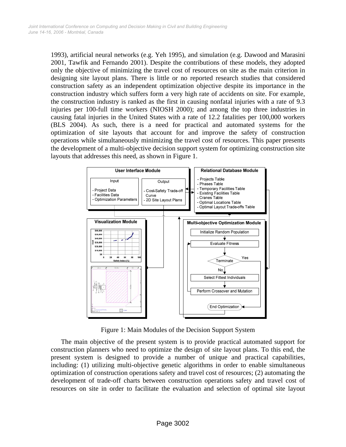1993), artificial neural networks (e.g. Yeh 1995), and simulation (e.g. Dawood and Marasini 2001, Tawfik and Fernando 2001). Despite the contributions of these models, they adopted only the objective of minimizing the travel cost of resources on site as the main criterion in designing site layout plans. There is little or no reported research studies that considered construction safety as an independent optimization objective despite its importance in the construction industry which suffers form a very high rate of accidents on site. For example, the construction industry is ranked as the first in causing nonfatal injuries with a rate of 9.3 injuries per 100-full time workers (NIOSH 2000); and among the top three industries in causing fatal injuries in the United States with a rate of 12.2 fatalities per 100,000 workers (BLS 2004). As such, there is a need for practical and automated systems for the optimization of site layouts that account for and improve the safety of construction operations while simultaneously minimizing the travel cost of resources. This paper presents the development of a multi-objective decision support system for optimizing construction site layouts that addresses this need, as shown in Figure 1.



Figure 1: Main Modules of the Decision Support System

The main objective of the present system is to provide practical automated support for construction planners who need to optimize the design of site layout plans. To this end, the present system is designed to provide a number of unique and practical capabilities, including: (1) utilizing multi-objective genetic algorithms in order to enable simultaneous optimization of construction operations safety and travel cost of resources; (2) automating the development of trade-off charts between construction operations safety and travel cost of resources on site in order to facilitate the evaluation and selection of optimal site layout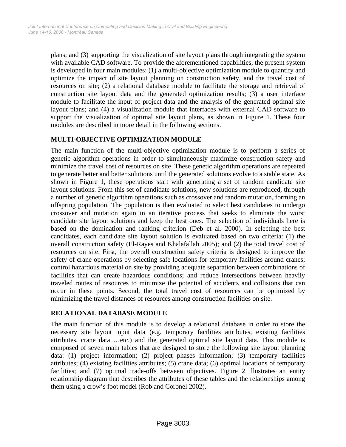plans; and (3) supporting the visualization of site layout plans through integrating the system with available CAD software. To provide the aforementioned capabilities, the present system is developed in four main modules: (1) a multi-objective optimization module to quantify and optimize the impact of site layout planning on construction safety, and the travel cost of resources on site; (2) a relational database module to facilitate the storage and retrieval of construction site layout data and the generated optimization results; (3) a user interface module to facilitate the input of project data and the analysis of the generated optimal site layout plans; and (4) a visualization module that interfaces with external CAD software to support the visualization of optimal site layout plans, as shown in Figure 1. These four modules are described in more detail in the following sections.

# **MULTI-OBJECTIVE OPTIMIZATION MODULE**

The main function of the multi-objective optimization module is to perform a series of genetic algorithm operations in order to simultaneously maximize construction safety and minimize the travel cost of resources on site. These genetic algorithm operations are repeated to generate better and better solutions until the generated solutions evolve to a stable state. As shown in Figure 1, these operations start with generating a set of random candidate site layout solutions. From this set of candidate solutions, new solutions are reproduced, through a number of genetic algorithm operations such as crossover and random mutation, forming an offspring population. The population is then evaluated to select best candidates to undergo crossover and mutation again in an iterative process that seeks to eliminate the worst candidate site layout solutions and keep the best ones. The selection of individuals here is based on the domination and ranking criterion (Deb et al. 2000). In selecting the best candidates, each candidate site layout solution is evaluated based on two criteria: (1) the overall construction safety (El-Rayes and Khalafallah 2005); and (2) the total travel cost of resources on site. First, the overall construction safety criteria is designed to improve the safety of crane operations by selecting safe locations for temporary facilities around cranes; control hazardous material on site by providing adequate separation between combinations of facilities that can create hazardous conditions; and reduce intersections between heavily traveled routes of resources to minimize the potential of accidents and collisions that can occur in these points. Second, the total travel cost of resources can be optimized by minimizing the travel distances of resources among construction facilities on site.

#### **RELATIONAL DATABASE MODULE**

The main function of this module is to develop a relational database in order to store the necessary site layout input data (e.g. temporary facilities attributes, existing facilities attributes, crane data …etc.) and the generated optimal site layout data. This module is composed of seven main tables that are designed to store the following site layout planning data: (1) project information; (2) project phases information; (3) temporary facilities attributes; (4) existing facilities attributes; (5) crane data; (6) optimal locations of temporary facilities; and (7) optimal trade-offs between objectives. Figure 2 illustrates an entity relationship diagram that describes the attributes of these tables and the relationships among them using a crow's foot model (Rob and Coronel 2002).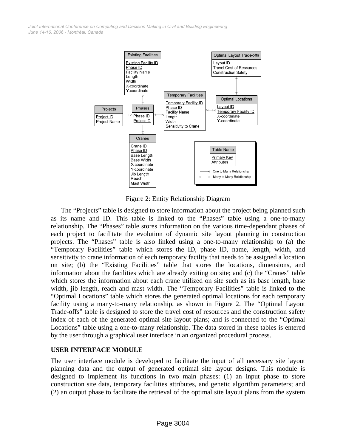*June 14-16, 2006 - Montréal, Canada Joint International Conference on Computing and Decision Making in Civil and Building Engineering*



Figure 2: Entity Relationship Diagram

The "Projects" table is designed to store information about the project being planned such as its name and ID. This table is linked to the "Phases" table using a one-to-many relationship. The "Phases" table stores information on the various time-dependant phases of each project to facilitate the evolution of dynamic site layout planning in construction projects. The "Phases" table is also linked using a one-to-many relationship to (a) the "Temporary Facilities" table which stores the ID, phase ID, name, length, width, and sensitivity to crane information of each temporary facility that needs to be assigned a location on site; (b) the "Existing Facilities" table that stores the locations, dimensions, and information about the facilities which are already exiting on site; and (c) the "Cranes" table which stores the information about each crane utilized on site such as its base length, base width, jib length, reach and mast width. The "Temporary Facilities" table is linked to the "Optimal Locations" table which stores the generated optimal locations for each temporary facility using a many-to-many relationship, as shown in Figure 2. The "Optimal Layout Trade-offs" table is designed to store the travel cost of resources and the construction safety index of each of the generated optimal site layout plans; and is connected to the "Optimal Locations" table using a one-to-many relationship. The data stored in these tables is entered by the user through a graphical user interface in an organized procedural process.

#### **USER INTERFACE MODULE**

The user interface module is developed to facilitate the input of all necessary site layout planning data and the output of generated optimal site layout designs. This module is designed to implement its functions in two main phases: (1) an input phase to store construction site data, temporary facilities attributes, and genetic algorithm parameters; and (2) an output phase to facilitate the retrieval of the optimal site layout plans from the system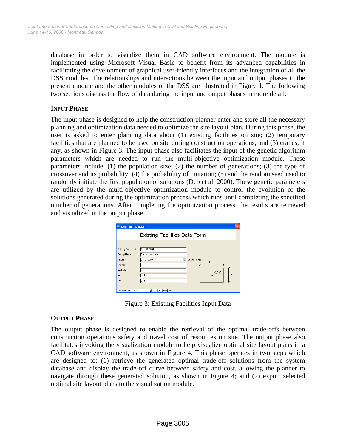database in order to visualize them in CAD software environment. The module is implemented using Microsoft Visual Basic to benefit from its advanced capabilities in facilitating the development of graphical user-friendly interfaces and the integration of all the DSS modules. The relationships and interactions between the input and output phases in the present module and the other modules of the DSS are illustrated in Figure 1. The following two sections discuss the flow of data during the input and output phases in more detail.

#### **INPUT PHASE**

The input phase is designed to help the construction planner enter and store all the necessary planning and optimization data needed to optimize the site layout plan. During this phase, the user is asked to enter planning data about (1) existing facilities on site; (2) temporary facilities that are planned to be used on site during construction operations; and (3) cranes, if any, as shown in Figure 3. The input phase also facilitates the input of the genetic algorithm parameters which are needed to run the multi-objective optimization module. These parameters include: (1) the population size; (2) the number of generations; (3) the type of crossover and its probability; (4) the probability of mutation; (5) and the random seed used to randomly initiate the first population of solutions (Deb et al. 2000). These genetic parameters are utilized by the multi-objective optimization module to control the evolution of the solutions generated during the optimization process which runs until completing the specified number of generations. After completing the optimization process, the results are retrieved and visualized in the output phase.

| 001-01-0001<br>Existing Facility ID<br>Construction Site<br>Facility Name<br>001010000<br>Phase ID<br>Change Phase<br>$\checkmark$<br>100<br>Length (L)<br>l60<br>Width [W]<br>(Xc,Yc)<br>Xc<br>2540 | Existing Facilities Data Form |  |   |  |  |  |
|------------------------------------------------------------------------------------------------------------------------------------------------------------------------------------------------------|-------------------------------|--|---|--|--|--|
|                                                                                                                                                                                                      |                               |  |   |  |  |  |
|                                                                                                                                                                                                      |                               |  |   |  |  |  |
|                                                                                                                                                                                                      |                               |  |   |  |  |  |
|                                                                                                                                                                                                      |                               |  |   |  |  |  |
|                                                                                                                                                                                                      |                               |  | W |  |  |  |
| Yc<br>742                                                                                                                                                                                            |                               |  |   |  |  |  |
|                                                                                                                                                                                                      |                               |  |   |  |  |  |

Figure 3: Existing Facilities Input Data

#### **OUTPUT PHASE**

The output phase is designed to enable the retrieval of the optimal trade-offs between construction operations safety and travel cost of resources on site. The output phase also facilitates invoking the visualization module to help visualize optimal site layout plans in a CAD software environment, as shown in Figure 4. This phase operates in two steps which are designed to: (1) retrieve the generated optimal trade-off solutions from the system database and display the trade-off curve between safety and cost, allowing the planner to navigate through these generated solution, as shown in Figure 4; and (2) export selected optimal site layout plans to the visualization module.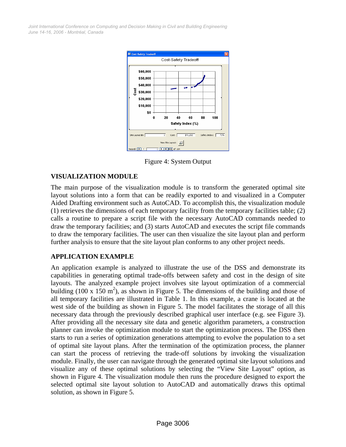*June 14-16, 2006 - Montréal, Canada Joint International Conference on Computing and Decision Making in Civil and Building Engineering*



Figure 4: System Output

#### **VISUALIZATION MODULE**

The main purpose of the visualization module is to transform the generated optimal site layout solutions into a form that can be readily exported to and visualized in a Computer Aided Drafting environment such as AutoCAD. To accomplish this, the visualization module (1) retrieves the dimensions of each temporary facility from the temporary facilities table; (2) calls a routine to prepare a script file with the necessary AutoCAD commands needed to draw the temporary facilities; and (3) starts AutoCAD and executes the script file commands to draw the temporary facilities. The user can then visualize the site layout plan and perform further analysis to ensure that the site layout plan conforms to any other project needs.

#### **APPLICATION EXAMPLE**

An application example is analyzed to illustrate the use of the DSS and demonstrate its capabilities in generating optimal trade-offs between safety and cost in the design of site layouts. The analyzed example project involves site layout optimization of a commercial building (100 x 150 m<sup>2</sup>), as shown in Figure 5. The dimensions of the building and those of all temporary facilities are illustrated in Table 1. In this example, a crane is located at the west side of the building as shown in Figure 5. The model facilitates the storage of all this necessary data through the previously described graphical user interface (e.g. see Figure 3). After providing all the necessary site data and genetic algorithm parameters, a construction planner can invoke the optimization module to start the optimization process. The DSS then starts to run a series of optimization generations attempting to evolve the population to a set of optimal site layout plans. After the termination of the optimization process, the planner can start the process of retrieving the trade-off solutions by invoking the visualization module. Finally, the user can navigate through the generated optimal site layout solutions and visualize any of these optimal solutions by selecting the "View Site Layout" option, as shown in Figure 4. The visualization module then runs the procedure designed to export the selected optimal site layout solution to AutoCAD and automatically draws this optimal solution, as shown in Figure 5.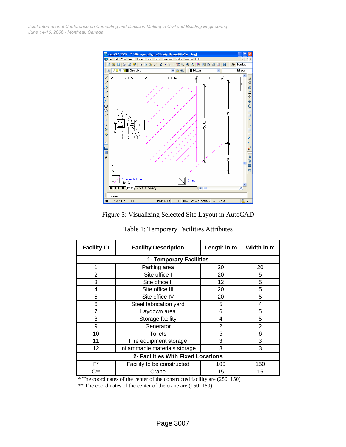*June 14-16, 2006 - Montréal, Canada Joint International Conference on Computing and Decision Making in Civil and Building Engineering*



Figure 5: Visualizing Selected Site Layout in AutoCAD

| <b>Facility ID</b>                 | <b>Facility Description</b>   | Length in m    | Width in m     |  |  |
|------------------------------------|-------------------------------|----------------|----------------|--|--|
| 1- Temporary Facilities            |                               |                |                |  |  |
| 1                                  | Parking area                  | 20             | 20             |  |  |
| 2                                  | Site office I                 | 20             | 5              |  |  |
| 3                                  | Site office II                | 12             | 5              |  |  |
| 4                                  | Site office III               | 20             | 5              |  |  |
| 5                                  | Site office IV                | 20             | 5              |  |  |
| 6                                  | Steel fabrication yard        | 5              | 4              |  |  |
| 7                                  | Laydown area                  | 6              | 5              |  |  |
| 8                                  | Storage facility              | 4              | 5              |  |  |
| 9                                  | Generator                     | $\overline{2}$ | $\overline{2}$ |  |  |
| 10                                 | <b>Toilets</b>                | 5              | 6              |  |  |
| 11                                 | Fire equipment storage        | 3              | 3              |  |  |
| 12                                 | Inflammable materials storage | 3              | 3              |  |  |
| 2- Facilities With Fixed Locations |                               |                |                |  |  |
| F*                                 | Facility to be constructed    | 100            | 150            |  |  |
| ∩**                                | Crane                         | 15             | 15             |  |  |

\* The coordinates of the center of the constructed facility are (250, 150)

\*\* The coordinates of the center of the crane are (150, 150)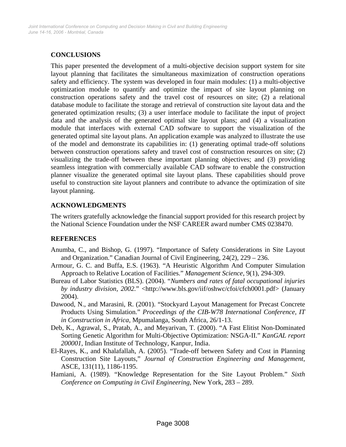# **CONCLUSIONS**

This paper presented the development of a multi-objective decision support system for site layout planning that facilitates the simultaneous maximization of construction operations safety and efficiency. The system was developed in four main modules: (1) a multi-objective optimization module to quantify and optimize the impact of site layout planning on construction operations safety and the travel cost of resources on site; (2) a relational database module to facilitate the storage and retrieval of construction site layout data and the generated optimization results; (3) a user interface module to facilitate the input of project data and the analysis of the generated optimal site layout plans; and (4) a visualization module that interfaces with external CAD software to support the visualization of the generated optimal site layout plans. An application example was analyzed to illustrate the use of the model and demonstrate its capabilities in: (1) generating optimal trade-off solutions between construction operations safety and travel cost of construction resources on site; (2) visualizing the trade-off between these important planning objectives; and (3) providing seamless integration with commercially available CAD software to enable the construction planner visualize the generated optimal site layout plans. These capabilities should prove useful to construction site layout planners and contribute to advance the optimization of site layout planning.

# **ACKNOWLEDGMENTS**

The writers gratefully acknowledge the financial support provided for this research project by the National Science Foundation under the NSF CAREER award number CMS 0238470.

#### **REFERENCES**

- Anumba, C., and Bishop, G. (1997). "Importance of Safety Considerations in Site Layout and Organization." Canadian Journal of Civil Engineering, 24(2), 229 – 236.
- Armour, G. C. and Buffa, E.S. (1963). "A Heuristic Algorithm And Computer Simulation Approach to Relative Location of Facilities." *Management Science*, 9(1), 294-309.
- Bureau of Labor Statistics (BLS). (2004). "*Numbers and rates of fatal occupational injuries by industry division, 2002.*" <http://www.bls.gov/iif/oshwc/cfoi/cfch0001.pdf> (January 2004).
- Dawood, N., and Marasini, R. (2001). "Stockyard Layout Management for Precast Concrete Products Using Simulation." *Proceedings of the CIB-W78 International Conference, IT in Construction in Africa,* Mpumalanga, South Africa, 26/1-13.
- Deb, K., Agrawal, S., Pratab, A., and Meyarivan, T. (2000). "A Fast Elitist Non-Dominated Sorting Genetic Algorithm for Multi-Objective Optimization: NSGA-II." *KanGAL report 200001*, Indian Institute of Technology, Kanpur, India.
- El-Rayes, K., and Khalafallah, A. (2005). "Trade-off between Safety and Cost in Planning Construction Site Layouts," *Journal of Construction Engineering and Management*, ASCE, 131(11), 1186-1195.
- Hamiani, A. (1989). "Knowledge Representation for the Site Layout Problem." *Sixth Conference on Computing in Civil Engineering*, New York, 283 – 289.